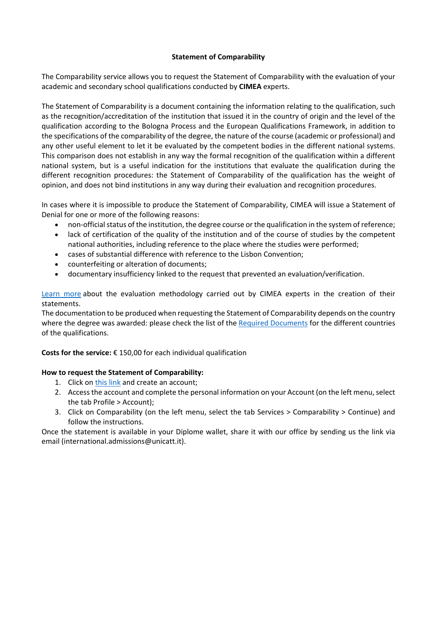## **Statement of Comparability**

The Comparability service allows you to request the Statement of Comparability with the evaluation of your academic and secondary school qualifications conducted by **CIMEA** experts.

The Statement of Comparability is a document containing the information relating to the qualification, such as the recognition/accreditation of the institution that issued it in the country of origin and the level of the qualification according to the Bologna Process and the European Qualifications Framework, in addition to the specifications of the comparability of the degree, the nature of the course (academic or professional) and any other useful element to let it be evaluated by the competent bodies in the different national systems. This comparison does not establish in any way the formal recognition of the qualification within a different national system, but is a useful indication for the institutions that evaluate the qualification during the different recognition procedures: the Statement of Comparability of the qualification has the weight of opinion, and does not bind institutions in any way during their evaluation and recognition procedures.

In cases where it is impossible to produce the Statement of Comparability, CIMEA will issue a Statement of Denial for one or more of the following reasons:

- non-official status of the institution, the degree course or the qualification in the system of reference;
- lack of certification of the quality of the institution and of the course of studies by the competent national authorities, including reference to the place where the studies were performed;
- cases of substantial difference with reference to the Lisbon Convention;
- counterfeiting or alteration of documents;
- documentary insufficiency linked to the request that prevented an evaluation/verification.

[Learn more](http://www.cimea.it/en/servizi/procedure-di-riconoscimento-dei-titoli/metodologica-valutativa.aspx) about the evaluation methodology carried out by CIMEA experts in the creation of their statements.

The documentation to be produced when requesting the Statement of Comparability depends on the country where the degree was awarded: please check the list of the [Required Documents](https://cimea.diplo-me.eu/unicatt/#/portal/info/requiredDocuments) for the different countries of the qualifications.

**Costs for the service:** € 150,00 for each individual qualification

## **How to request the Statement of Comparability:**

- 1. Click on [this link](https://cimea.diplo-me.eu/unicatt/#/auth/login) and create an account;
- 2. Access the account and complete the personal information on your Account (on the left menu, select the tab Profile > Account);
- 3. Click on Comparability (on the left menu, select the tab Services > Comparability > Continue) and follow the instructions.

Once the statement is available in your Diplome wallet, share it with our office by sending us the link via email (international.admissions@unicatt.it).